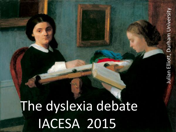## The dyslexia debate IACESA 2015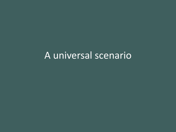### A universal scenario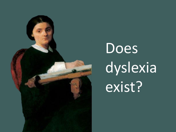

# Does dyslexia exist?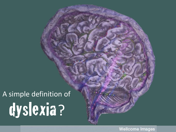## A simple definition of dyslexia?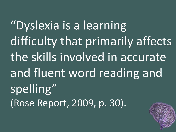"Dyslexia is a learning difficulty that primarily affects the skills involved in accurate and fluent word reading and spelling" (Rose Report, 2009, p. 30).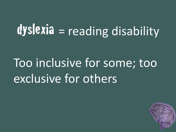## dyslexia = reading disability

## Too inclusive for some; too exclusive for others

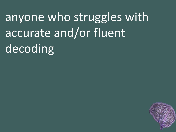anyone who struggles with accurate and/or fluent decoding

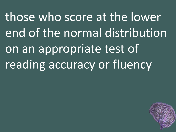those who score at the lower end of the normal distribution on an appropriate test of reading accuracy or fluency

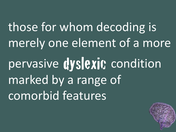those for whom decoding is merely one element of a more pervasive dyslexit; condition marked by a range of comorbid features

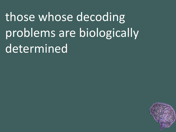those whose decoding problems are biologically determined

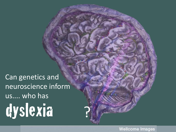Can genetics and neuroscience inform us.... who has dyslexia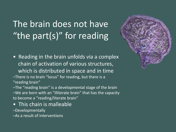### The brain does not have "the part(s)" for reading

- Reading in the brain unfolds via a complex chain of activation of various structures, which is distributed in space and in time –There is no brain "locus" for reading, but there is a "reading brain"
- –The "reading brain" is a developmental stage of the brain –We are born with an "illiterate brain" that has the capacity to become a "reading/literate brain"
- This chain is malleable
- –Developmentally
- –As a result of interventions

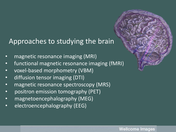#### Approaches to studying the brain

- magnetic resonance imaging (MRI)
- functional magnetic resonance imaging (fMRI)
- voxel-based morphometry (VBM)
- diffusion tensor imaging (DTI)
- magnetic resonance spectroscopy (MRS)
- positron emission tomography (PET)
- magnetoencephalography (MEG)
- electroencephalography (EEG)

֢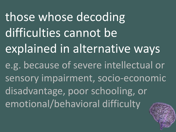those whose decoding difficulties cannot be explained in alternative ways e.g. because of severe intellectual or sensory impairment, socio-economic disadvantage, poor schooling, or emotional/behavioral difficulty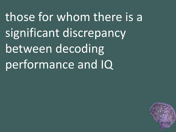those for whom there is a significant discrepancy between decoding performance and IQ

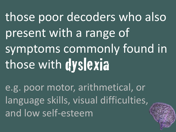those poor decoders who also present with a range of symptoms commonly found in those with dyslexia

e.g. poor motor, arithmetical, or language skills, visual difficulties, and low self-esteem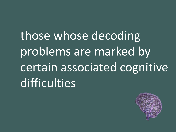those whose decoding problems are marked by certain associated cognitive difficulties

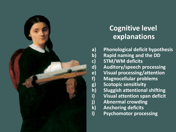

### **Cognitive level explanations**

**a) Phonological deficit hypothesis b) Rapid naming and the DD c) STM/WM deficits d) Auditory/speech processing e) Visual processing/attention f) Magnocellular problems g) Scotopic sensitivity h) Sluggish attentional shifting i) Visual attention span deficit j) Abnormal crowding k) Anchoring deficits l) Psychomotor processing**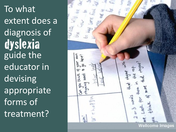To what extent does a diagnosis of dyslexia<br>guide the educator in devising appropriate forms of treatment?

**Wellcome Images**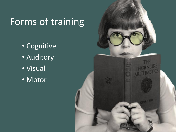### Forms of training

- Cognitive
- Auditory
- Visual
- Motor

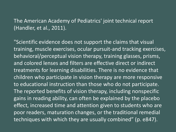#### The American Academy of Pediatrics' joint technical report (Handler, et al., 2011).

"Scientific evidence does not support the claims that visual training, muscle exercises, ocular pursuit-and tracking exercises, behavioral/perceptual vision therapy, training glasses, prisms, and colored lenses and filters are effective direct or indirect treatments for learning disabilities. There is no evidence that children who participate in vision therapy are more responsive to educational instruction than those who do not participate. The reported benefits of vision therapy, including nonspecific gains in reading ability, can often be explained by the placebo effect, increased time and attention given to students who are poor readers, maturation changes, or the traditional remedial techniques with which they are usually combined" (p. e847).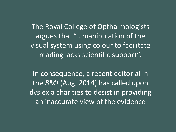The Royal College of Opthalmologists argues that "…manipulation of the visual system using colour to facilitate reading lacks scientific support".

In consequence, a recent editorial in the *BMJ* (Aug, 2014) has called upon dyslexia charities to desist in providing an inaccurate view of the evidence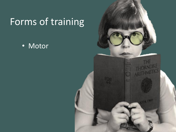### Forms of training

• Motor

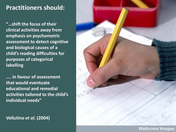#### **Practitioners should:**

**"…shift the focus of their clinical activities away from emphasis on psychometric assessment to detect cognitive and biological causes of a child's reading difficulties for purposes of categorical labelling** 

**.... in favour of assessment that would eventuate educational and remedial activities tailored to the child's individual needs"** 

#### **Vellutino** *et al.* **(2004)**

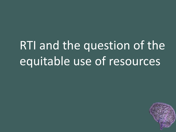## RTI and the question of the equitable use of resources

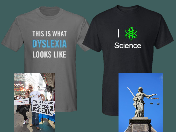### THIS IS WHAT **DYSLEXIA LOOKS LIKE**





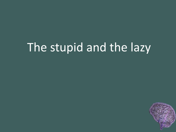## The stupid and the lazy

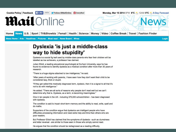**Cookie Policy | Feedback | FLIke 1965k** 

Follow @MailOnline @DailyMail

Monday, Mar 10 2014 9PM 6°C 2012AM 5°C 205-Day Forecast

### **Mail**Online

U.S. Sport | TV&Showbiz | Femail | Health | Science | Money | Video | Coffee Break | Travel | Fashion Finder Home **News** 

News Home | Arts | Headlines | Pictures | Most read | News Board | Wires

Login

#### Dyslexia 'is just a middle-class way to hide stupidity'

Dyslexia is a social fig leaf used by middle-class parents who fear their children will be labelled as low achievers, a professor has claimed.

Julian Elliott, a leading educational psychologist at Durham University, says he has found no evidence to identify dyslexia as a medical condition after more than 30 years of research.

"There is a huge stigma attached to low intelligence," he said.

"After years of working with parents, I have seen how they don't want their child to be considered lazy, thick or stupid.

"If they get called this medically diagnosed term, dyslexic, then it is a signal to all that it's not to do with intelligence."

He added: "There are all sorts of reasons why people don't read well but we can't determine why that is. Dyslexia, as a term, is becoming meaningless."

One in ten people in the UK - including 375,000 schoolchildren - has been diagnosed with dyslexia.

The condition is said to impair short-term memory and the ability to read, write, spell and do maths.

Supporters of the condition argue that dyslexics are intelligent people who have difficulties processing information and need extra help and time than others who are poor readers.

But Professor Elliott has claimed that the symptoms of dyslexia - such as clumsiness and letter reversal - are similar to those seen in those who simply cannot read.

He argues that the condition should be rediagnosed as a reading difficulty.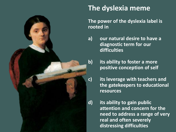

#### **The dyslexia meme**

**The power of the dyslexia label is rooted in** 

- **a) our natural desire to have a diagnostic term for our difficulties**
- **b) its ability to foster a more positive conception of self**
- **c) its leverage with teachers and the gatekeepers to educational resources**
- **d) its ability to gain public attention and concern for the need to address a range of very real and often severely distressing difficulties**